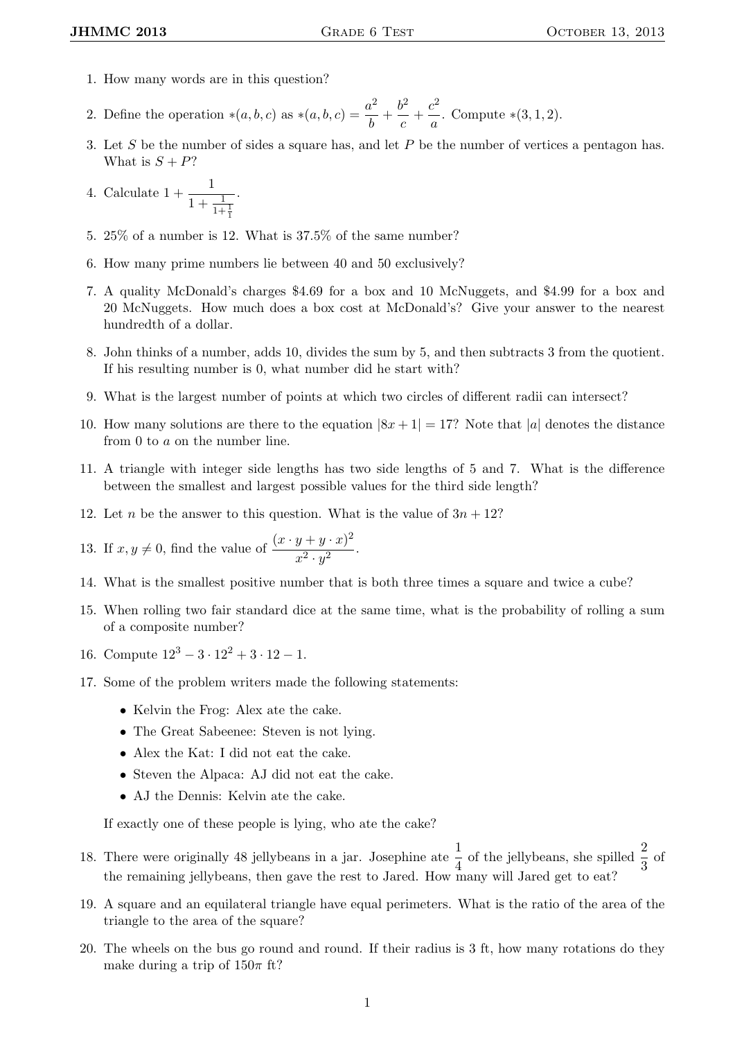- 1. How many words are in this question?
- 2. Define the operation  $*(a, b, c)$  as  $*(a, b, c) = \frac{a^2}{l}$  $\frac{a^2}{b} + \frac{b^2}{c}$  $\frac{b^2}{c} + \frac{c^2}{a}$  $\frac{a}{a}$ . Compute \*(3, 1, 2).
- 3. Let S be the number of sides a square has, and let P be the number of vertices a pentagon has. What is  $S + P$ ?

4. Calculate 
$$
1 + \frac{1}{1 + \frac{1}{1 + \frac{1}{1}}}
$$
.

- 5. 25% of a number is 12. What is 37.5% of the same number?
- 6. How many prime numbers lie between 40 and 50 exclusively?
- 7. A quality McDonald's charges \$4.69 for a box and 10 McNuggets, and \$4.99 for a box and 20 McNuggets. How much does a box cost at McDonald's? Give your answer to the nearest hundredth of a dollar.
- 8. John thinks of a number, adds 10, divides the sum by 5, and then subtracts 3 from the quotient. If his resulting number is 0, what number did he start with?
- 9. What is the largest number of points at which two circles of different radii can intersect?
- 10. How many solutions are there to the equation  $|8x+1|=17$ ? Note that |a| denotes the distance from 0 to a on the number line.
- 11. A triangle with integer side lengths has two side lengths of 5 and 7. What is the difference between the smallest and largest possible values for the third side length?
- 12. Let *n* be the answer to this question. What is the value of  $3n + 12$ ?

13. If 
$$
x, y \neq 0
$$
, find the value of 
$$
\frac{(x \cdot y + y \cdot x)^2}{x^2 \cdot y^2}.
$$

- 14. What is the smallest positive number that is both three times a square and twice a cube?
- 15. When rolling two fair standard dice at the same time, what is the probability of rolling a sum of a composite number?
- 16. Compute  $12^3 3 \cdot 12^2 + 3 \cdot 12 1$ .
- 17. Some of the problem writers made the following statements:
	- Kelvin the Frog: Alex ate the cake.
	- The Great Sabeenee: Steven is not lying.
	- Alex the Kat: I did not eat the cake.
	- Steven the Alpaca: AJ did not eat the cake.
	- AJ the Dennis: Kelvin ate the cake.

If exactly one of these people is lying, who ate the cake?

- 18. There were originally 48 jellybeans in a jar. Josephine ate  $\frac{1}{4}$  of the jellybeans, she spilled  $\frac{2}{3}$  of the remaining jellybeans, then gave the rest to Jared. How many will Jared get to eat?
- 19. A square and an equilateral triangle have equal perimeters. What is the ratio of the area of the triangle to the area of the square?
- 20. The wheels on the bus go round and round. If their radius is 3 ft, how many rotations do they make during a trip of  $150\pi$  ft?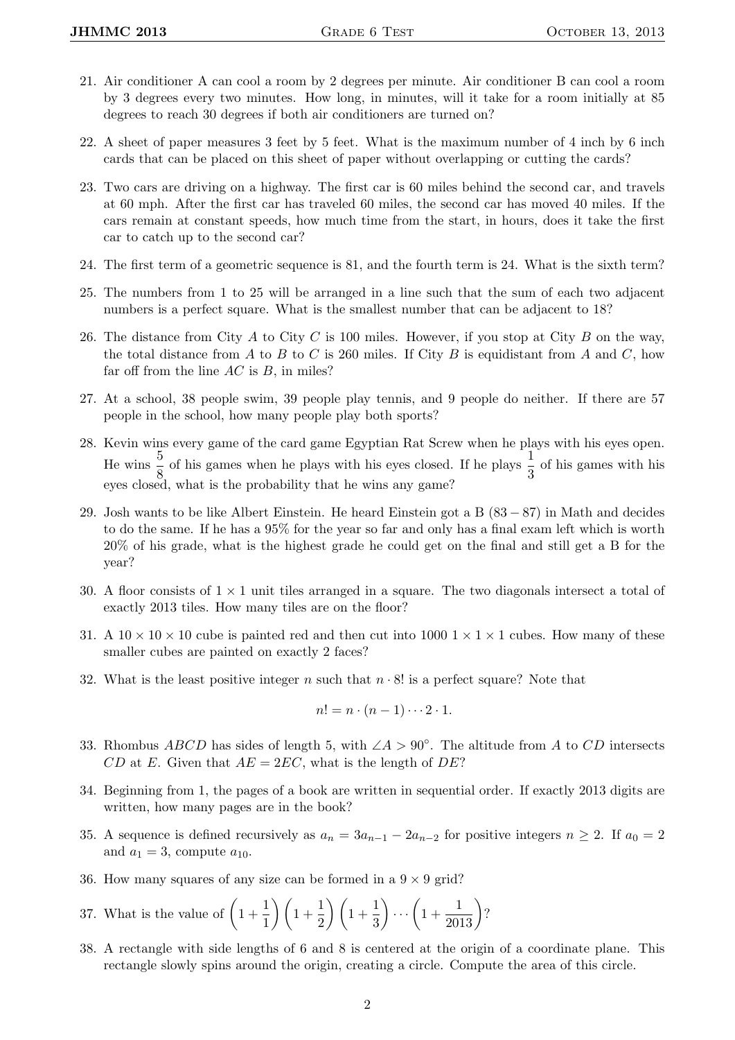- 21. Air conditioner A can cool a room by 2 degrees per minute. Air conditioner B can cool a room by 3 degrees every two minutes. How long, in minutes, will it take for a room initially at 85 degrees to reach 30 degrees if both air conditioners are turned on?
- 22. A sheet of paper measures 3 feet by 5 feet. What is the maximum number of 4 inch by 6 inch cards that can be placed on this sheet of paper without overlapping or cutting the cards?
- 23. Two cars are driving on a highway. The first car is 60 miles behind the second car, and travels at 60 mph. After the first car has traveled 60 miles, the second car has moved 40 miles. If the cars remain at constant speeds, how much time from the start, in hours, does it take the first car to catch up to the second car?
- 24. The first term of a geometric sequence is 81, and the fourth term is 24. What is the sixth term?
- 25. The numbers from 1 to 25 will be arranged in a line such that the sum of each two adjacent numbers is a perfect square. What is the smallest number that can be adjacent to 18?
- 26. The distance from City  $A$  to City  $C$  is 100 miles. However, if you stop at City  $B$  on the way, the total distance from A to B to C is 260 miles. If City B is equidistant from A and C, how far off from the line  $AC$  is  $B$ , in miles?
- 27. At a school, 38 people swim, 39 people play tennis, and 9 people do neither. If there are 57 people in the school, how many people play both sports?
- 28. Kevin wins every game of the card game Egyptian Rat Screw when he plays with his eyes open. He wins  $\frac{5}{8}$  of his games when he plays with his eyes closed. If he plays  $\frac{1}{3}$  of his games with his eyes closed, what is the probability that he wins any game?
- 29. Josh wants to be like Albert Einstein. He heard Einstein got a B (83 − 87) in Math and decides to do the same. If he has a 95% for the year so far and only has a final exam left which is worth 20% of his grade, what is the highest grade he could get on the final and still get a B for the year?
- 30. A floor consists of  $1 \times 1$  unit tiles arranged in a square. The two diagonals intersect a total of exactly 2013 tiles. How many tiles are on the floor?
- 31. A  $10 \times 10 \times 10$  cube is painted red and then cut into 1000  $1 \times 1 \times 1$  cubes. How many of these smaller cubes are painted on exactly 2 faces?
- 32. What is the least positive integer n such that  $n \cdot 8!$  is a perfect square? Note that

$$
n! = n \cdot (n-1) \cdots 2 \cdot 1.
$$

- 33. Rhombus ABCD has sides of length 5, with  $\angle A > 90^\circ$ . The altitude from A to CD intersects CD at E. Given that  $AE = 2EC$ , what is the length of DE?
- 34. Beginning from 1, the pages of a book are written in sequential order. If exactly 2013 digits are written, how many pages are in the book?
- 35. A sequence is defined recursively as  $a_n = 3a_{n-1} 2a_{n-2}$  for positive integers  $n \geq 2$ . If  $a_0 = 2$ and  $a_1 = 3$ , compute  $a_{10}$ .
- 36. How many squares of any size can be formed in a  $9 \times 9$  grid?
- 37. What is the value of  $\left(1+\frac{1}{1}\right)$  $\frac{1}{1}$  $\bigg) \bigg( 1 + \frac{1}{2}$  $\frac{1}{2}$  $\bigg) \bigg( 1 + \frac{1}{3}$ 3  $\bigg) \cdots \bigg(1 + \frac{1}{2013}\bigg)$ ?
- 38. A rectangle with side lengths of 6 and 8 is centered at the origin of a coordinate plane. This rectangle slowly spins around the origin, creating a circle. Compute the area of this circle.